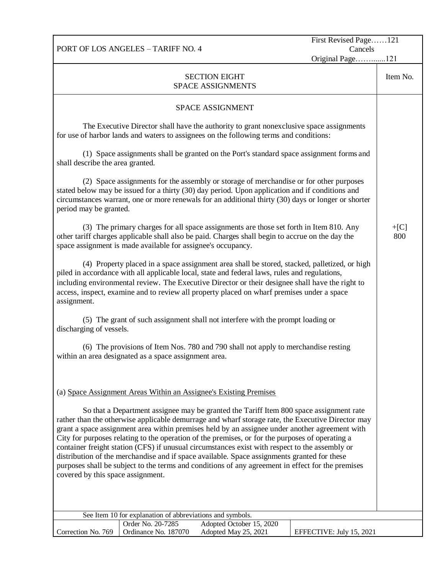PORT OF LOS ANGELES – TARIFF NO. 4

First Revised Page……121 Cancels

Original Page…….......121

| <b>SECTION EIGHT</b><br><b>SPACE ASSIGNMENTS</b>                                                                                                                                                                                                                                                                                                                                                                                           |               |  |  |  |
|--------------------------------------------------------------------------------------------------------------------------------------------------------------------------------------------------------------------------------------------------------------------------------------------------------------------------------------------------------------------------------------------------------------------------------------------|---------------|--|--|--|
| SPACE ASSIGNMENT                                                                                                                                                                                                                                                                                                                                                                                                                           |               |  |  |  |
| The Executive Director shall have the authority to grant nonexclusive space assignments<br>for use of harbor lands and waters to assignees on the following terms and conditions:                                                                                                                                                                                                                                                          |               |  |  |  |
| (1) Space assignments shall be granted on the Port's standard space assignment forms and<br>shall describe the area granted.                                                                                                                                                                                                                                                                                                               |               |  |  |  |
| (2) Space assignments for the assembly or storage of merchandise or for other purposes<br>stated below may be issued for a thirty (30) day period. Upon application and if conditions and<br>circumstances warrant, one or more renewals for an additional thirty (30) days or longer or shorter<br>period may be granted.                                                                                                                 |               |  |  |  |
| (3) The primary charges for all space assignments are those set forth in Item 810. Any<br>other tariff charges applicable shall also be paid. Charges shall begin to accrue on the day the<br>space assignment is made available for assignee's occupancy.                                                                                                                                                                                 | $+[C]$<br>800 |  |  |  |
| (4) Property placed in a space assignment area shall be stored, stacked, palletized, or high<br>piled in accordance with all applicable local, state and federal laws, rules and regulations,<br>including environmental review. The Executive Director or their designee shall have the right to<br>access, inspect, examine and to review all property placed on wharf premises under a space<br>assignment.                             |               |  |  |  |
| (5) The grant of such assignment shall not interfere with the prompt loading or<br>discharging of vessels.                                                                                                                                                                                                                                                                                                                                 |               |  |  |  |
| (6) The provisions of Item Nos. 780 and 790 shall not apply to merchandise resting<br>within an area designated as a space assignment area.                                                                                                                                                                                                                                                                                                |               |  |  |  |
| (a) Space Assignment Areas Within an Assignee's Existing Premises<br>So that a Department assignee may be granted the Tariff Item 800 space assignment rate<br>rather than the otherwise applicable demurrage and wharf storage rate, the Executive Director may<br>grant a space assignment area within premises held by an assignee under another agreement with                                                                         |               |  |  |  |
| City for purposes relating to the operation of the premises, or for the purposes of operating a<br>container freight station (CFS) if unusual circumstances exist with respect to the assembly or<br>distribution of the merchandise and if space available. Space assignments granted for these<br>purposes shall be subject to the terms and conditions of any agreement in effect for the premises<br>covered by this space assignment. |               |  |  |  |
| See Item 10 for explanation of abbreviations and symbols.                                                                                                                                                                                                                                                                                                                                                                                  |               |  |  |  |
| Order No. 20-7285<br>Adopted October 15, 2020<br>Correction No. 769<br>Ordinance No. 187070<br>Adopted May 25, 2021<br>EFFECTIVE: July 15, 2021                                                                                                                                                                                                                                                                                            |               |  |  |  |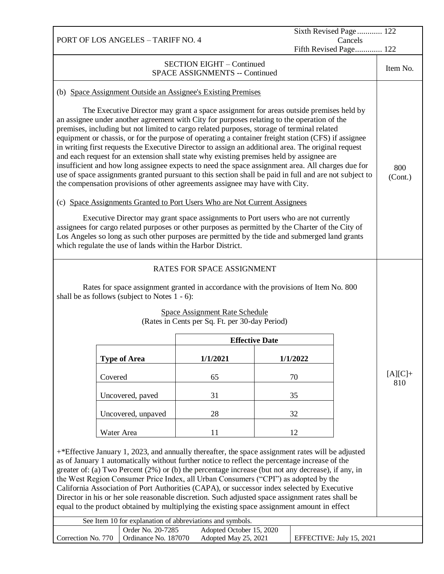| Sixth Revised Page 122<br>PORT OF LOS ANGELES - TARIFF NO. 4<br>Cancels                                                                                                                                                                                                                                                                                                                                                                                                                                                                                                                                                                                                                                                                                                                                                                                                                                                                                                                                                                                                                                                                                                                                                                                                                                                               |                                                                                |                            |          |                          |                  |
|---------------------------------------------------------------------------------------------------------------------------------------------------------------------------------------------------------------------------------------------------------------------------------------------------------------------------------------------------------------------------------------------------------------------------------------------------------------------------------------------------------------------------------------------------------------------------------------------------------------------------------------------------------------------------------------------------------------------------------------------------------------------------------------------------------------------------------------------------------------------------------------------------------------------------------------------------------------------------------------------------------------------------------------------------------------------------------------------------------------------------------------------------------------------------------------------------------------------------------------------------------------------------------------------------------------------------------------|--------------------------------------------------------------------------------|----------------------------|----------|--------------------------|------------------|
|                                                                                                                                                                                                                                                                                                                                                                                                                                                                                                                                                                                                                                                                                                                                                                                                                                                                                                                                                                                                                                                                                                                                                                                                                                                                                                                                       |                                                                                |                            |          | Fifth Revised Page 122   |                  |
| <b>SECTION EIGHT - Continued</b><br><b>SPACE ASSIGNMENTS -- Continued</b>                                                                                                                                                                                                                                                                                                                                                                                                                                                                                                                                                                                                                                                                                                                                                                                                                                                                                                                                                                                                                                                                                                                                                                                                                                                             |                                                                                |                            |          |                          |                  |
| (b) Space Assignment Outside an Assignee's Existing Premises                                                                                                                                                                                                                                                                                                                                                                                                                                                                                                                                                                                                                                                                                                                                                                                                                                                                                                                                                                                                                                                                                                                                                                                                                                                                          |                                                                                |                            |          |                          |                  |
| The Executive Director may grant a space assignment for areas outside premises held by<br>an assignee under another agreement with City for purposes relating to the operation of the<br>premises, including but not limited to cargo related purposes, storage of terminal related<br>equipment or chassis, or for the purpose of operating a container freight station (CFS) if assignee<br>in writing first requests the Executive Director to assign an additional area. The original request<br>and each request for an extension shall state why existing premises held by assignee are<br>insufficient and how long assignee expects to need the space assignment area. All charges due for<br>use of space assignments granted pursuant to this section shall be paid in full and are not subject to<br>the compensation provisions of other agreements assignee may have with City.<br>(c) Space Assignments Granted to Port Users Who are Not Current Assignees<br>Executive Director may grant space assignments to Port users who are not currently<br>assignees for cargo related purposes or other purposes as permitted by the Charter of the City of<br>Los Angeles so long as such other purposes are permitted by the tide and submerged land grants<br>which regulate the use of lands within the Harbor District. |                                                                                |                            |          |                          | 800<br>(Cont.)   |
|                                                                                                                                                                                                                                                                                                                                                                                                                                                                                                                                                                                                                                                                                                                                                                                                                                                                                                                                                                                                                                                                                                                                                                                                                                                                                                                                       |                                                                                | RATES FOR SPACE ASSIGNMENT |          |                          |                  |
| Rates for space assignment granted in accordance with the provisions of Item No. 800                                                                                                                                                                                                                                                                                                                                                                                                                                                                                                                                                                                                                                                                                                                                                                                                                                                                                                                                                                                                                                                                                                                                                                                                                                                  |                                                                                |                            |          |                          |                  |
| shall be as follows (subject to Notes $1 - 6$ ):                                                                                                                                                                                                                                                                                                                                                                                                                                                                                                                                                                                                                                                                                                                                                                                                                                                                                                                                                                                                                                                                                                                                                                                                                                                                                      |                                                                                |                            |          |                          |                  |
| <b>Space Assignment Rate Schedule</b><br>(Rates in Cents per Sq. Ft. per 30-day Period)                                                                                                                                                                                                                                                                                                                                                                                                                                                                                                                                                                                                                                                                                                                                                                                                                                                                                                                                                                                                                                                                                                                                                                                                                                               |                                                                                |                            |          |                          |                  |
| <b>Effective Date</b>                                                                                                                                                                                                                                                                                                                                                                                                                                                                                                                                                                                                                                                                                                                                                                                                                                                                                                                                                                                                                                                                                                                                                                                                                                                                                                                 |                                                                                |                            |          |                          |                  |
|                                                                                                                                                                                                                                                                                                                                                                                                                                                                                                                                                                                                                                                                                                                                                                                                                                                                                                                                                                                                                                                                                                                                                                                                                                                                                                                                       |                                                                                |                            |          |                          |                  |
|                                                                                                                                                                                                                                                                                                                                                                                                                                                                                                                                                                                                                                                                                                                                                                                                                                                                                                                                                                                                                                                                                                                                                                                                                                                                                                                                       | <b>Type of Area</b>                                                            | 1/1/2021                   | 1/1/2022 |                          |                  |
|                                                                                                                                                                                                                                                                                                                                                                                                                                                                                                                                                                                                                                                                                                                                                                                                                                                                                                                                                                                                                                                                                                                                                                                                                                                                                                                                       | Covered                                                                        | 65                         | 70       |                          | $[A][C]+$<br>810 |
|                                                                                                                                                                                                                                                                                                                                                                                                                                                                                                                                                                                                                                                                                                                                                                                                                                                                                                                                                                                                                                                                                                                                                                                                                                                                                                                                       | Uncovered, paved                                                               | 31                         | 35       |                          |                  |
|                                                                                                                                                                                                                                                                                                                                                                                                                                                                                                                                                                                                                                                                                                                                                                                                                                                                                                                                                                                                                                                                                                                                                                                                                                                                                                                                       | Uncovered, unpaved                                                             | 28                         | 32       |                          |                  |
|                                                                                                                                                                                                                                                                                                                                                                                                                                                                                                                                                                                                                                                                                                                                                                                                                                                                                                                                                                                                                                                                                                                                                                                                                                                                                                                                       | Water Area                                                                     | 11                         | 12       |                          |                  |
| +*Effective January 1, 2023, and annually thereafter, the space assignment rates will be adjusted<br>as of January 1 automatically without further notice to reflect the percentage increase of the<br>greater of: (a) Two Percent (2%) or (b) the percentage increase (but not any decrease), if any, in<br>the West Region Consumer Price Index, all Urban Consumers ("CPI") as adopted by the<br>California Association of Port Authorities (CAPA), or successor index selected by Executive<br>Director in his or her sole reasonable discretion. Such adjusted space assignment rates shall be<br>equal to the product obtained by multiplying the existing space assignment amount in effect                                                                                                                                                                                                                                                                                                                                                                                                                                                                                                                                                                                                                                    |                                                                                |                            |          |                          |                  |
|                                                                                                                                                                                                                                                                                                                                                                                                                                                                                                                                                                                                                                                                                                                                                                                                                                                                                                                                                                                                                                                                                                                                                                                                                                                                                                                                       | See Item 10 for explanation of abbreviations and symbols.<br>Order No. 20-7285 | Adopted October 15, 2020   |          |                          |                  |
| Correction No. 770                                                                                                                                                                                                                                                                                                                                                                                                                                                                                                                                                                                                                                                                                                                                                                                                                                                                                                                                                                                                                                                                                                                                                                                                                                                                                                                    | Ordinance No. 187070                                                           | Adopted May 25, 2021       |          | EFFECTIVE: July 15, 2021 |                  |